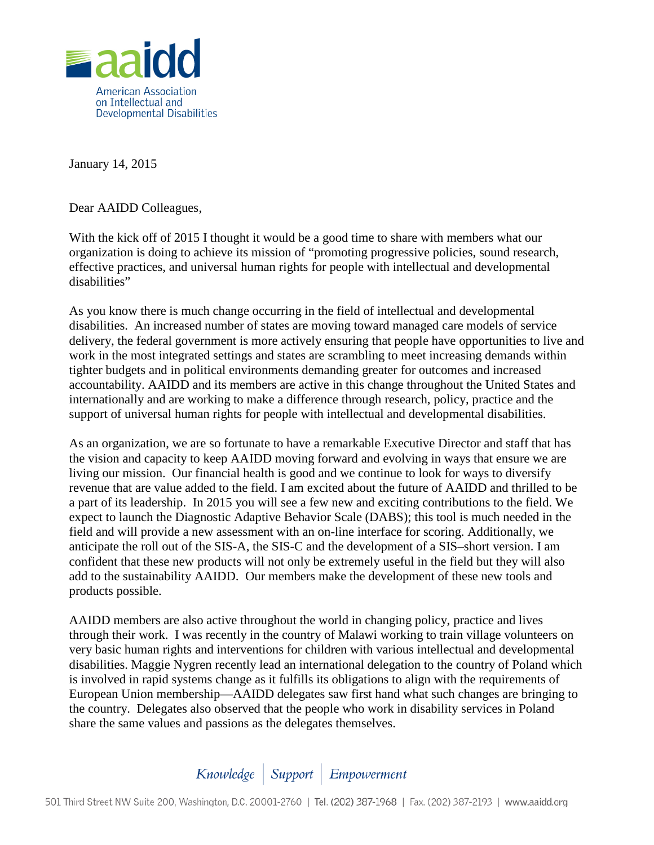

January 14, 2015

Dear AAIDD Colleagues,

With the kick off of 2015 I thought it would be a good time to share with members what our organization is doing to achieve its mission of "promoting progressive policies, sound research, effective practices, and universal human rights for people with intellectual and developmental disabilities"

As you know there is much change occurring in the field of intellectual and developmental disabilities. An increased number of states are moving toward managed care models of service delivery, the federal government is more actively ensuring that people have opportunities to live and work in the most integrated settings and states are scrambling to meet increasing demands within tighter budgets and in political environments demanding greater for outcomes and increased accountability. AAIDD and its members are active in this change throughout the United States and internationally and are working to make a difference through research, policy, practice and the support of universal human rights for people with intellectual and developmental disabilities.

As an organization, we are so fortunate to have a remarkable Executive Director and staff that has the vision and capacity to keep AAIDD moving forward and evolving in ways that ensure we are living our mission. Our financial health is good and we continue to look for ways to diversify revenue that are value added to the field. I am excited about the future of AAIDD and thrilled to be a part of its leadership. In 2015 you will see a few new and exciting contributions to the field. We expect to launch the Diagnostic Adaptive Behavior Scale (DABS); this tool is much needed in the field and will provide a new assessment with an on-line interface for scoring. Additionally, we anticipate the roll out of the SIS-A, the SIS-C and the development of a SIS–short version. I am confident that these new products will not only be extremely useful in the field but they will also add to the sustainability AAIDD. Our members make the development of these new tools and products possible.

AAIDD members are also active throughout the world in changing policy, practice and lives through their work. I was recently in the country of Malawi working to train village volunteers on very basic human rights and interventions for children with various intellectual and developmental disabilities. Maggie Nygren recently lead an international delegation to the country of Poland which is involved in rapid systems change as it fulfills its obligations to align with the requirements of European Union membership—AAIDD delegates saw first hand what such changes are bringing to the country. Delegates also observed that the people who work in disability services in Poland share the same values and passions as the delegates themselves.

## Knowledge | Support | Empowerment